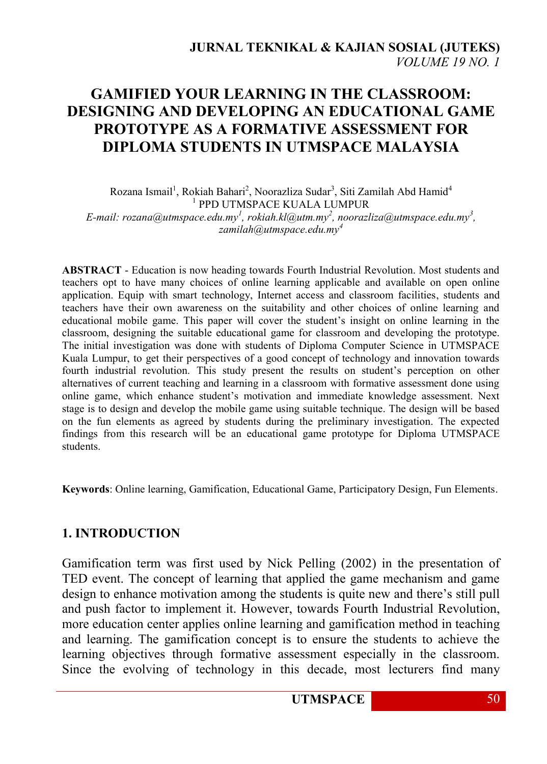# **GAMIFIED YOUR LEARNING IN THE CLASSROOM: DESIGNING AND DEVELOPING AN EDUCATIONAL GAME PROTOTYPE AS A FORMATIVE ASSESSMENT FOR DIPLOMA STUDENTS IN UTMSPACE MALAYSIA**

Rozana Ismail<sup>1</sup>, Rokiah Bahari<sup>2</sup>, Noorazliza Sudar<sup>3</sup>, Siti Zamilah Abd Hamid<sup>4</sup> 1 PPD UTMSPACE KUALA LUMPUR *E-mail: rozana@utmspace.edu.my<sup>1</sup> , rokiah.kl@utm.my<sup>2</sup> , noorazliza@utmspace.edu.my<sup>3</sup> , [zamilah@utmspace.edu.my](mailto:zamilah@utmspace.edu.my4)<sup>4</sup>*

**ABSTRACT** - Education is now heading towards Fourth Industrial Revolution. Most students and teachers opt to have many choices of online learning applicable and available on open online application. Equip with smart technology, Internet access and classroom facilities, students and teachers have their own awareness on the suitability and other choices of online learning and educational mobile game. This paper will cover the student's insight on online learning in the classroom, designing the suitable educational game for classroom and developing the prototype. The initial investigation was done with students of Diploma Computer Science in UTMSPACE Kuala Lumpur, to get their perspectives of a good concept of technology and innovation towards fourth industrial revolution. This study present the results on student's perception on other alternatives of current teaching and learning in a classroom with formative assessment done using online game, which enhance student's motivation and immediate knowledge assessment. Next stage is to design and develop the mobile game using suitable technique. The design will be based on the fun elements as agreed by students during the preliminary investigation. The expected findings from this research will be an educational game prototype for Diploma UTMSPACE students.

**Keywords**: Online learning, Gamification, Educational Game, Participatory Design, Fun Elements.

#### **1. INTRODUCTION**

Gamification term was first used by Nick Pelling (2002) in the presentation of TED event. The concept of learning that applied the game mechanism and game design to enhance motivation among the students is quite new and there's still pull and push factor to implement it. However, towards Fourth Industrial Revolution, more education center applies online learning and gamification method in teaching and learning. The gamification concept is to ensure the students to achieve the learning objectives through formative assessment especially in the classroom. Since the evolving of technology in this decade, most lecturers find many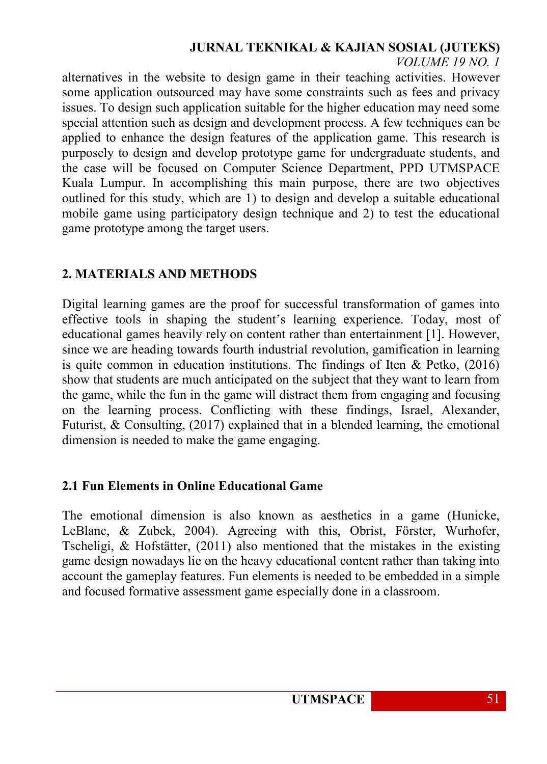# **JURNAL TEKNIKAL & KAJIAN SOSIAL (JUTEKS)**

#### *VOLUME 19 NO. 1*

alternatives in the website to design game in their teaching activities. However some application outsourced may have some constraints such as fees and privacy issues. To design such application suitable for the higher education may need some special attention such as design and development process. A few techniques can be applied to enhance the design features of the application game. This research is purposely to design and develop prototype game for undergraduate students, and the case will be focused on Computer Science Department, PPD UTMSPACE Kuala Lumpur. In accomplishing this main purpose, there are two objectives outlined for this study, which are 1) to design and develop a suitable educational mobile game using participatory design technique and 2) to test the educational game prototype among the target users.

# **2. MATERIALS AND METHODS**

Digital learning games are the proof for successful transformation of games into effective tools in shaping the student's learning experience. Today, most of educational games heavily rely on content rather than entertainment [1]. However, since we are heading towards fourth industrial revolution, gamification in learning is quite common in education institutions. The findings of Iten & Petko, (2016) show that students are much anticipated on the subject that they want to learn from the game, while the fun in the game will distract them from engaging and focusing on the learning process. Conflicting with these findings, Israel, Alexander, Futurist, & Consulting, (2017) explained that in a blended learning, the emotional dimension is needed to make the game engaging.

## **2.1 Fun Elements in Online Educational Game**

The emotional dimension is also known as aesthetics in a game (Hunicke, LeBlanc, & Zubek, 2004). Agreeing with this, Obrist, Förster, Wurhofer, Tscheligi, & Hofstätter, (2011) also mentioned that the mistakes in the existing game design nowadays lie on the heavy educational content rather than taking into account the gameplay features. Fun elements is needed to be embedded in a simple and focused formative assessment game especially done in a classroom.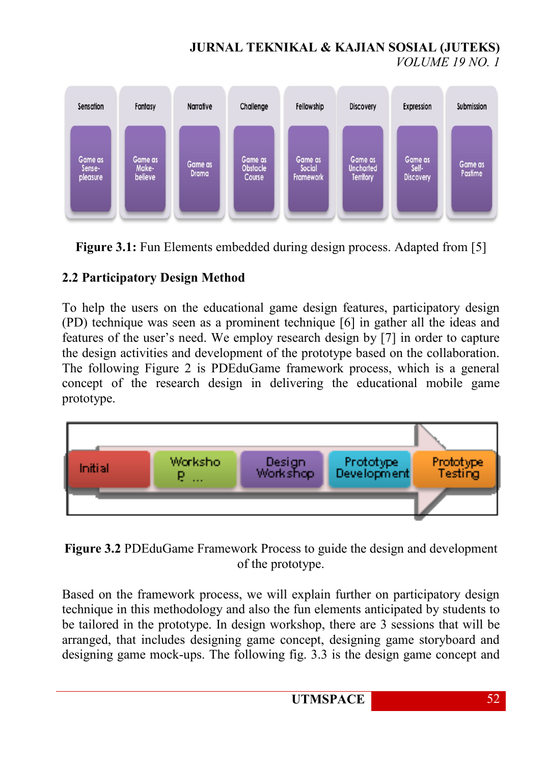# **JURNAL TEKNIKAL & KAJIAN SOSIAL (JUTEKS)** *VOLUME 19 NO. 1*



**Figure 3.1:** Fun Elements embedded during design process. Adapted from [5]

# **2.2 Participatory Design Method**

To help the users on the educational game design features, participatory design (PD) technique was seen as a prominent technique [6] in gather all the ideas and features of the user's need. We employ research design by [7] in order to capture the design activities and development of the prototype based on the collaboration. The following Figure 2 is PDEduGame framework process, which is a general concept of the research design in delivering the educational mobile game prototype.



**Figure 3.2** PDEduGame Framework Process to guide the design and development of the prototype.

Based on the framework process, we will explain further on participatory design technique in this methodology and also the fun elements anticipated by students to be tailored in the prototype. In design workshop, there are 3 sessions that will be arranged, that includes designing game concept, designing game storyboard and designing game mock-ups. The following fig. 3.3 is the design game concept and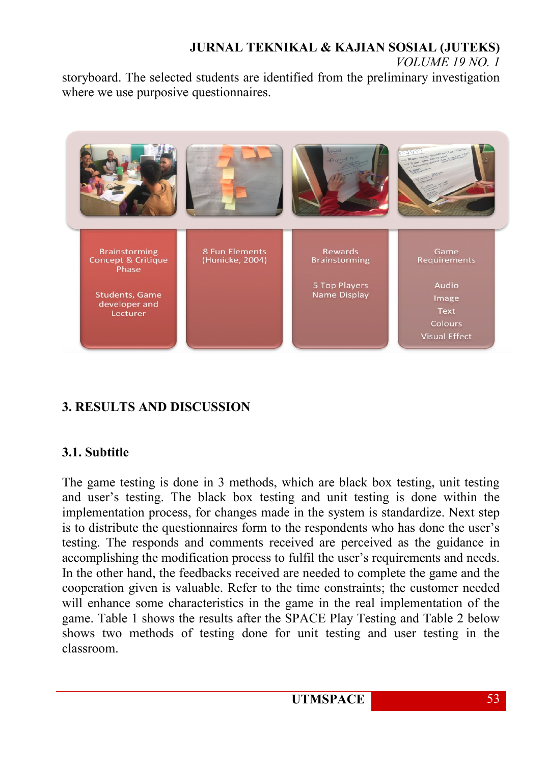# **JURNAL TEKNIKAL & KAJIAN SOSIAL (JUTEKS)** *VOLUME 19 NO. 1*

storyboard. The selected students are identified from the preliminary investigation where we use purposive questionnaires.



# **3. RESULTS AND DISCUSSION**

## **3.1. Subtitle**

The game testing is done in 3 methods, which are black box testing, unit testing and user's testing. The black box testing and unit testing is done within the implementation process, for changes made in the system is standardize. Next step is to distribute the questionnaires form to the respondents who has done the user's testing. The responds and comments received are perceived as the guidance in accomplishing the modification process to fulfil the user's requirements and needs. In the other hand, the feedbacks received are needed to complete the game and the cooperation given is valuable. Refer to the time constraints; the customer needed will enhance some characteristics in the game in the real implementation of the game. Table 1 shows the results after the SPACE Play Testing and Table 2 below shows two methods of testing done for unit testing and user testing in the classroom.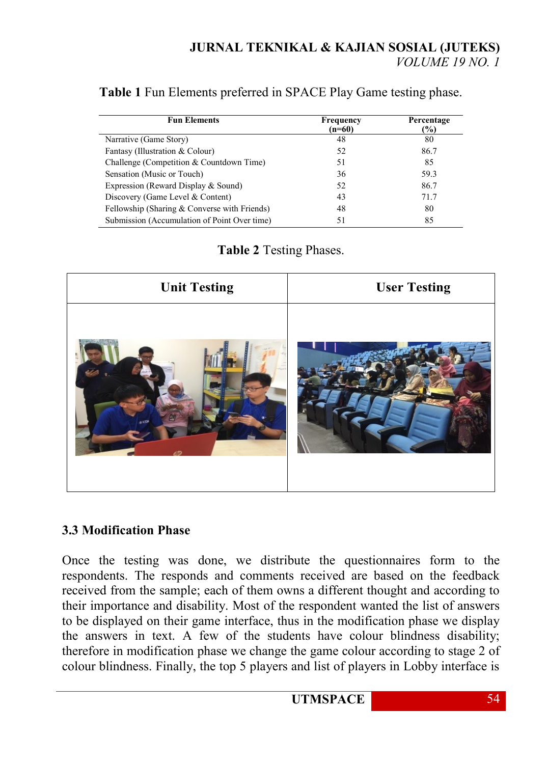## **Table 1** Fun Elements preferred in SPACE Play Game testing phase.

| <b>Fun Elements</b>                            | Frequency<br>(n=60) | Percentage<br>$\frac{1}{2}$ |
|------------------------------------------------|---------------------|-----------------------------|
| Narrative (Game Story)                         | 48                  | 80                          |
| Fantasy (Illustration & Colour)                | 52                  | 86.7                        |
| Challenge (Competition & Countdown Time)       | 51                  | 85                          |
| Sensation (Music or Touch)                     | 36                  | 59.3                        |
| Expression (Reward Display & Sound)            | 52                  | 86.7                        |
| Discovery (Game Level & Content)               | 43                  | 71.7                        |
| Fellowship (Sharing $&$ Converse with Friends) | 48                  | 80                          |
| Submission (Accumulation of Point Over time)   | 51                  | 85                          |

## **Table 2** Testing Phases.

| <b>Unit Testing</b> | <b>User Testing</b> |  |
|---------------------|---------------------|--|
| <b>ANDA</b>         |                     |  |

## **3.3 Modification Phase**

Once the testing was done, we distribute the questionnaires form to the respondents. The responds and comments received are based on the feedback received from the sample; each of them owns a different thought and according to their importance and disability. Most of the respondent wanted the list of answers to be displayed on their game interface, thus in the modification phase we display the answers in text. A few of the students have colour blindness disability; therefore in modification phase we change the game colour according to stage 2 of colour blindness. Finally, the top 5 players and list of players in Lobby interface is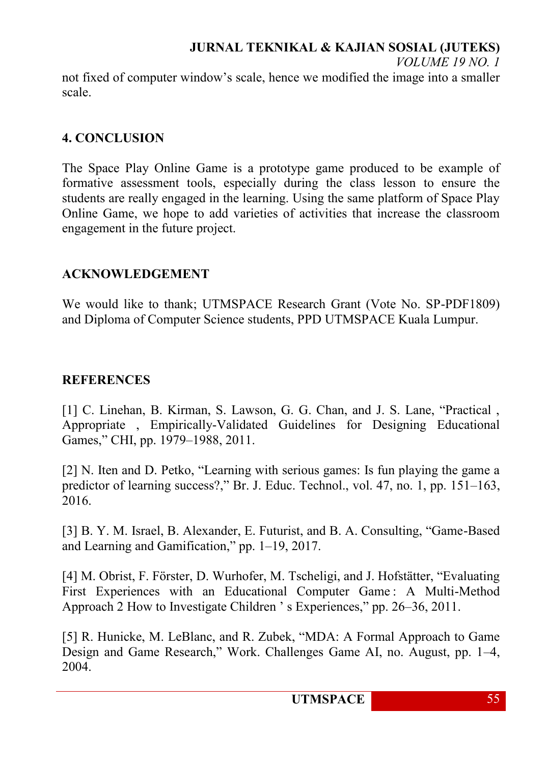# **JURNAL TEKNIKAL & KAJIAN SOSIAL (JUTEKS)**

*VOLUME 19 NO. 1*

not fixed of computer window's scale, hence we modified the image into a smaller scale.

#### **4. CONCLUSION**

The Space Play Online Game is a prototype game produced to be example of formative assessment tools, especially during the class lesson to ensure the students are really engaged in the learning. Using the same platform of Space Play Online Game, we hope to add varieties of activities that increase the classroom engagement in the future project.

## **ACKNOWLEDGEMENT**

We would like to thank; UTMSPACE Research Grant (Vote No. SP-PDF1809) and Diploma of Computer Science students, PPD UTMSPACE Kuala Lumpur.

## **REFERENCES**

[1] C. Linehan, B. Kirman, S. Lawson, G. G. Chan, and J. S. Lane, "Practical , Appropriate , Empirically-Validated Guidelines for Designing Educational Games," CHI, pp. 1979–1988, 2011.

[2] N. Iten and D. Petko, "Learning with serious games: Is fun playing the game a predictor of learning success?," Br. J. Educ. Technol., vol. 47, no. 1, pp. 151–163, 2016.

[3] B. Y. M. Israel, B. Alexander, E. Futurist, and B. A. Consulting, "Game-Based and Learning and Gamification," pp. 1–19, 2017.

[4] M. Obrist, F. Förster, D. Wurhofer, M. Tscheligi, and J. Hofstätter, "Evaluating First Experiences with an Educational Computer Game : A Multi-Method Approach 2 How to Investigate Children ' s Experiences," pp. 26–36, 2011.

[5] R. Hunicke, M. LeBlanc, and R. Zubek, "MDA: A Formal Approach to Game Design and Game Research," Work. Challenges Game AI, no. August, pp. 1–4, 2004.